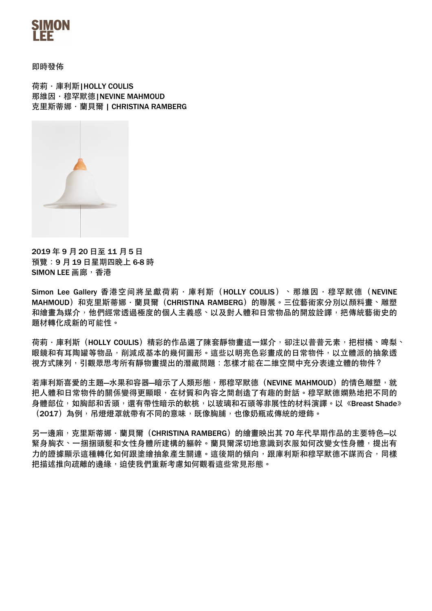

即時發佈

荷莉.庫利斯|HOLLY COULIS 那維因 · 穆罕默德INEVINE MAHMOUD 克里斯蒂娜 · 蘭貝爾 | CHRISTINA RAMBERG



2019年9月20日至11月5日 預覽:9 ⽉ 19 ⽇星期四晚上 6-8 時 SIMON LEE 画廊,香港

Simon Lee Gallery 香港空间將呈獻荷莉 · 庫利斯 (HOLLY COULIS) 、那維因 · 穆罕默德 (NEVINE MAHMOUD)和克里斯蒂娜 ·蘭貝爾 (CHRISTINA RAMBERG)的聯展。三位藝術家分別以顏料畫、雕塑 和繪畫為媒介,他們經常透過極度的個人主義感丶以及對人體和日常物品的開放詮譯,把傳統藝術史的 題材轉化成新的可能性。

荷莉·庫利斯(HOLLY COULIS)精彩的作品選了陳套靜物書這一媒介,卻注以普普元素,把柑橘、啤梨、 眼鏡和有耳陶罐等物品,削減成基本的幾何圖形。這些以明亮色彩畫成的日常物件,以立體派的抽象透 視方式陳列,引觀眾思考所有靜物畫提出的潛藏問題:怎樣才能在二維空間中充分表達立體的物件?

若庫利斯喜愛的主題—水果和容器—暗示了人類形態,那穆罕默德(NEVINE MAHMOUD)的情色雕塑,就 把人體和日常物件的關係變得更顯眼,在材質和內容之間創造了有趣的對話。穆罕默德嫻熟地把不同的 身體部位,如胸部和舌頭,還有帶性暗示的軟桃,以玻璃和石頭等非展性的材料演譯。以《Breast Shade》 (2017)為例,吊燈燈罩就帶有不同的意味,既像胸脯,也像奶瓶或傳統的燈飾。

另一邊廂,克里斯蒂娜.蘭貝爾 (CHRISTINA RAMBERG) 的繪畫映出其 70 年代早期作品的主要特色—以 緊身胸衣丶一捆捆頭髮和女性身體所建構的軀幹。蘭貝爾深切地意識到衣服如何改變女性身體,提出有 力的證據顯示這種轉化如何跟塗繪抽象產生關連。這後期的傾向,跟庫利斯和穆罕默德不謀而合,同樣 把描述推向疏離的邊緣,迫使我們重新考慮如何觀看這些常見形態。